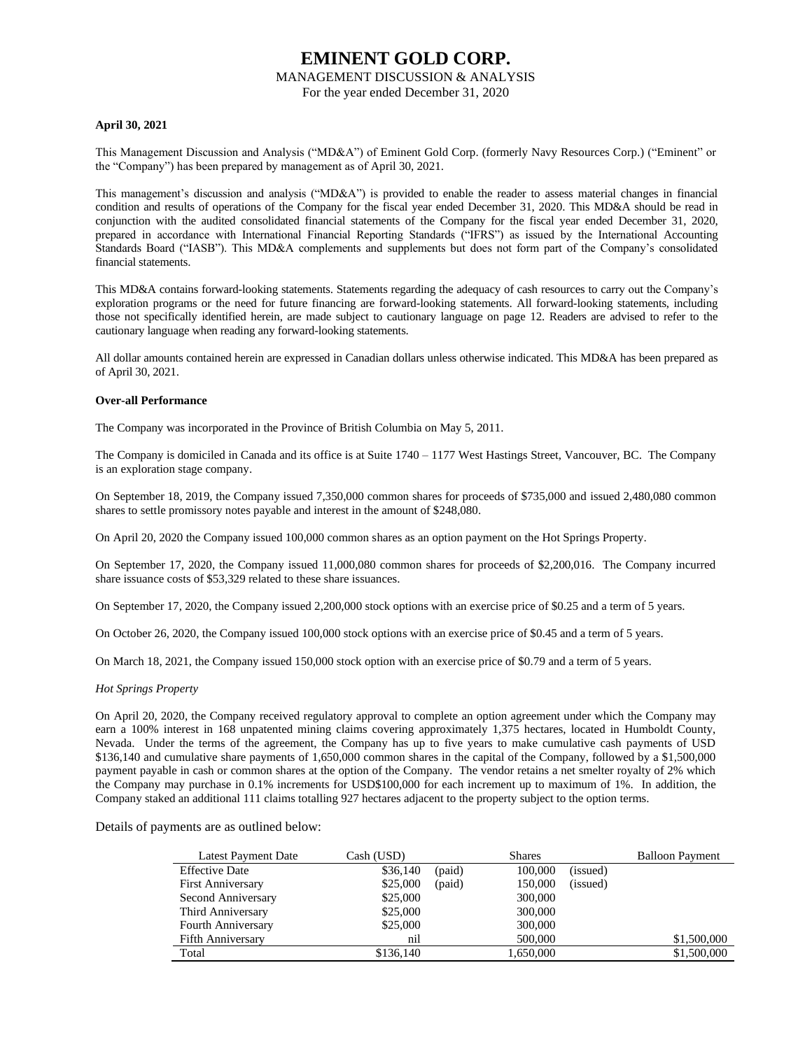#### MANAGEMENT DISCUSSION & ANALYSIS

For the year ended December 31, 2020

#### **April 30, 2021**

This Management Discussion and Analysis ("MD&A") of Eminent Gold Corp. (formerly Navy Resources Corp.) ("Eminent" or the "Company") has been prepared by management as of April 30, 2021.

This management's discussion and analysis ("MD&A") is provided to enable the reader to assess material changes in financial condition and results of operations of the Company for the fiscal year ended December 31, 2020. This MD&A should be read in conjunction with the audited consolidated financial statements of the Company for the fiscal year ended December 31, 2020, prepared in accordance with International Financial Reporting Standards ("IFRS") as issued by the International Accounting Standards Board ("IASB"). This MD&A complements and supplements but does not form part of the Company's consolidated financial statements.

This MD&A contains forward-looking statements. Statements regarding the adequacy of cash resources to carry out the Company's exploration programs or the need for future financing are forward-looking statements. All forward-looking statements, including those not specifically identified herein, are made subject to cautionary language on page 12. Readers are advised to refer to the cautionary language when reading any forward-looking statements.

All dollar amounts contained herein are expressed in Canadian dollars unless otherwise indicated. This MD&A has been prepared as of April 30, 2021.

#### **Over-all Performance**

The Company was incorporated in the Province of British Columbia on May 5, 2011.

The Company is domiciled in Canada and its office is at Suite 1740 – 1177 West Hastings Street, Vancouver, BC. The Company is an exploration stage company.

On September 18, 2019, the Company issued 7,350,000 common shares for proceeds of \$735,000 and issued 2,480,080 common shares to settle promissory notes payable and interest in the amount of \$248,080.

On April 20, 2020 the Company issued 100,000 common shares as an option payment on the Hot Springs Property.

On September 17, 2020, the Company issued 11,000,080 common shares for proceeds of \$2,200,016. The Company incurred share issuance costs of \$53,329 related to these share issuances.

On September 17, 2020, the Company issued 2,200,000 stock options with an exercise price of \$0.25 and a term of 5 years.

On October 26, 2020, the Company issued 100,000 stock options with an exercise price of \$0.45 and a term of 5 years.

On March 18, 2021, the Company issued 150,000 stock option with an exercise price of \$0.79 and a term of 5 years.

#### *Hot Springs Property*

On April 20, 2020, the Company received regulatory approval to complete an option agreement under which the Company may earn a 100% interest in 168 unpatented mining claims covering approximately 1,375 hectares, located in Humboldt County, Nevada. Under the terms of the agreement, the Company has up to five years to make cumulative cash payments of USD \$136,140 and cumulative share payments of 1,650,000 common shares in the capital of the Company, followed by a \$1,500,000 payment payable in cash or common shares at the option of the Company. The vendor retains a net smelter royalty of 2% which the Company may purchase in 0.1% increments for USD\$100,000 for each increment up to maximum of 1%. In addition, the Company staked an additional 111 claims totalling 927 hectares adjacent to the property subject to the option terms.

Details of payments are as outlined below:

| <b>Latest Payment Date</b> | Cash (USD) |        | <b>Shares</b> |          | <b>Balloon Payment</b> |
|----------------------------|------------|--------|---------------|----------|------------------------|
| <b>Effective Date</b>      | \$36,140   | (paid) | 100,000       | (issued) |                        |
| <b>First Anniversary</b>   | \$25,000   | (paid) | 150,000       | (issued) |                        |
| Second Anniversary         | \$25,000   |        | 300,000       |          |                        |
| Third Anniversary          | \$25,000   |        | 300,000       |          |                        |
| Fourth Anniversary         | \$25,000   |        | 300,000       |          |                        |
| <b>Fifth Anniversary</b>   | nil        |        | 500,000       |          | \$1,500,000            |
| Total                      | \$136,140  |        | 1,650,000     |          | \$1,500,000            |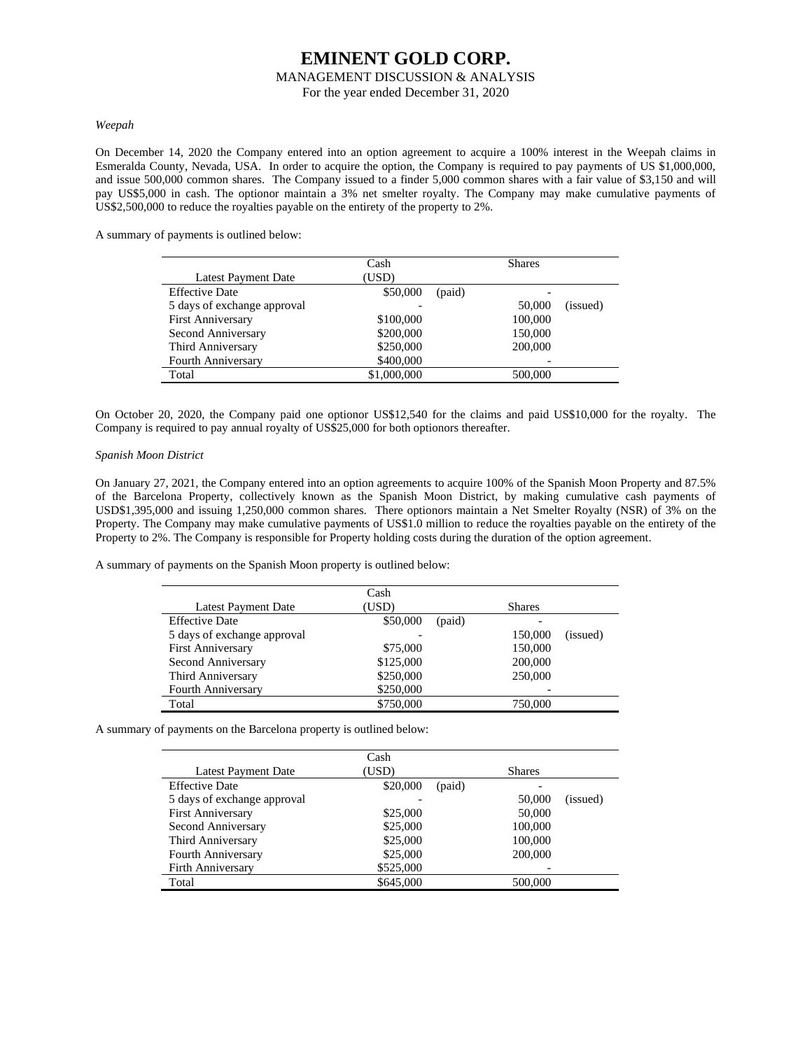### **EMINENT GOLD CORP.** MANAGEMENT DISCUSSION & ANALYSIS

For the year ended December 31, 2020

#### *Weepah*

On December 14, 2020 the Company entered into an option agreement to acquire a 100% interest in the Weepah claims in Esmeralda County, Nevada, USA. In order to acquire the option, the Company is required to pay payments of US \$1,000,000, and issue 500,000 common shares. The Company issued to a finder 5,000 common shares with a fair value of \$3,150 and will pay US\$5,000 in cash. The optionor maintain a 3% net smelter royalty. The Company may make cumulative payments of US\$2,500,000 to reduce the royalties payable on the entirety of the property to 2%.

A summary of payments is outlined below:

|                             | Cash        |        | <b>Shares</b> |          |
|-----------------------------|-------------|--------|---------------|----------|
| <b>Latest Payment Date</b>  | (USD)       |        |               |          |
| <b>Effective Date</b>       | \$50,000    | (paid) |               |          |
| 5 days of exchange approval |             |        | 50,000        | (issued) |
| <b>First Anniversary</b>    | \$100,000   |        | 100,000       |          |
| Second Anniversary          | \$200,000   |        | 150,000       |          |
| Third Anniversary           | \$250,000   |        | 200,000       |          |
| Fourth Anniversary          | \$400,000   |        |               |          |
| Total                       | \$1,000,000 |        | 500,000       |          |

On October 20, 2020, the Company paid one optionor US\$12,540 for the claims and paid US\$10,000 for the royalty. The Company is required to pay annual royalty of US\$25,000 for both optionors thereafter.

#### *Spanish Moon District*

On January 27, 2021, the Company entered into an option agreements to acquire 100% of the Spanish Moon Property and 87.5% of the Barcelona Property, collectively known as the Spanish Moon District, by making cumulative cash payments of USD\$1,395,000 and issuing 1,250,000 common shares. There optionors maintain a Net Smelter Royalty (NSR) of 3% on the Property. The Company may make cumulative payments of US\$1.0 million to reduce the royalties payable on the entirety of the Property to 2%. The Company is responsible for Property holding costs during the duration of the option agreement.

A summary of payments on the Spanish Moon property is outlined below:

|                             | Cash      |        |               |          |
|-----------------------------|-----------|--------|---------------|----------|
| <b>Latest Payment Date</b>  | (USD)     |        | <b>Shares</b> |          |
| <b>Effective Date</b>       | \$50,000  | (paid) |               |          |
| 5 days of exchange approval |           |        | 150,000       | (issued) |
| First Anniversary           | \$75,000  |        | 150,000       |          |
| Second Anniversary          | \$125,000 |        | 200,000       |          |
| Third Anniversary           | \$250,000 |        | 250,000       |          |
| <b>Fourth Anniversary</b>   | \$250,000 |        |               |          |
| Total                       | \$750,000 |        | 750,000       |          |

A summary of payments on the Barcelona property is outlined below:

|                             | Cash      |        |               |          |
|-----------------------------|-----------|--------|---------------|----------|
| Latest Payment Date         | (USD)     |        | <b>Shares</b> |          |
| <b>Effective Date</b>       | \$20,000  | (paid) |               |          |
| 5 days of exchange approval |           |        | 50,000        | (issued) |
| <b>First Anniversary</b>    | \$25,000  |        | 50,000        |          |
| Second Anniversary          | \$25,000  |        | 100,000       |          |
| Third Anniversary           | \$25,000  |        | 100,000       |          |
| Fourth Anniversary          | \$25,000  |        | 200,000       |          |
| Firth Anniversary           | \$525,000 |        |               |          |
| Total                       | \$645,000 |        | 500,000       |          |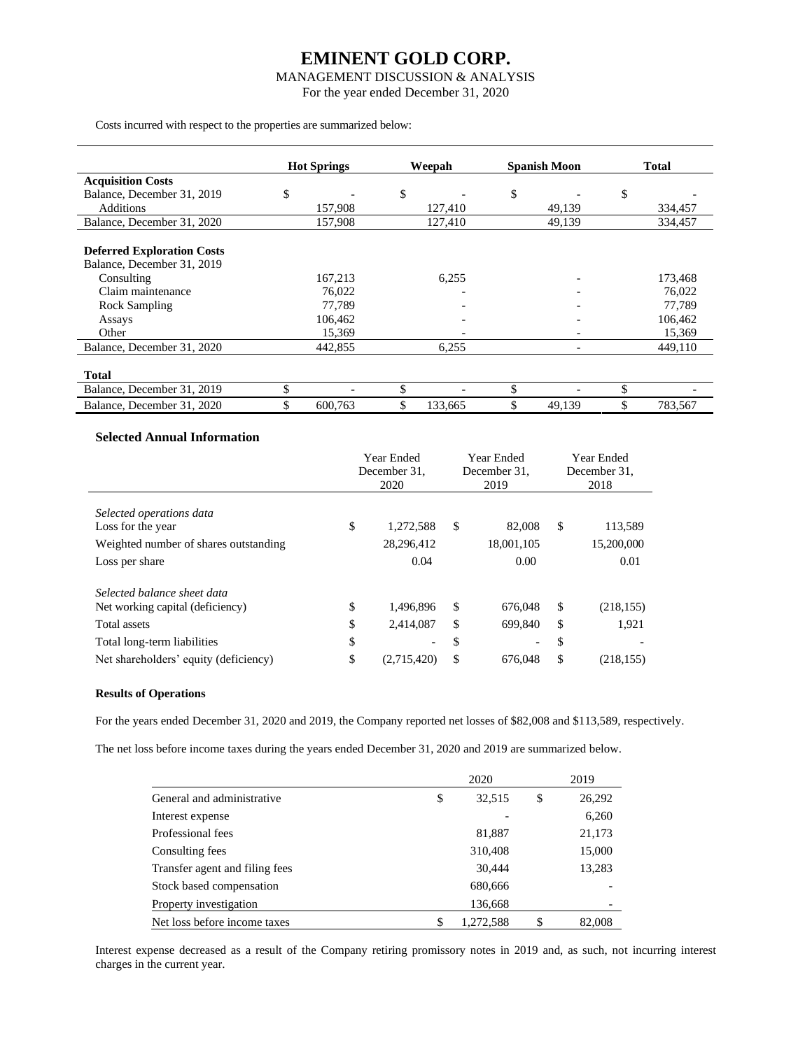### MANAGEMENT DISCUSSION & ANALYSIS

For the year ended December 31, 2020

Costs incurred with respect to the properties are summarized below:

|                                   | <b>Hot Springs</b> | Weepah        | <b>Spanish Moon</b> | <b>Total</b>  |
|-----------------------------------|--------------------|---------------|---------------------|---------------|
| <b>Acquisition Costs</b>          |                    |               |                     |               |
| Balance, December 31, 2019        | \$                 | \$            | \$                  | \$            |
| <b>Additions</b>                  | 157,908            | 127,410       | 49,139              | 334,457       |
| Balance, December 31, 2020        | 157,908            | 127,410       | 49,139              | 334,457       |
|                                   |                    |               |                     |               |
| <b>Deferred Exploration Costs</b> |                    |               |                     |               |
| Balance, December 31, 2019        |                    |               |                     |               |
| Consulting                        | 167,213            | 6,255         |                     | 173,468       |
| Claim maintenance                 | 76,022             |               |                     | 76,022        |
| Rock Sampling                     | 77,789             |               |                     | 77,789        |
| Assays                            | 106,462            |               |                     | 106,462       |
| Other                             | 15,369             |               |                     | 15,369        |
| Balance, December 31, 2020        | 442,855            | 6,255         |                     | 449.110       |
|                                   |                    |               |                     |               |
| <b>Total</b>                      |                    |               |                     |               |
| Balance, December 31, 2019        | \$                 | \$            |                     | \$            |
| Balance, December 31, 2020        | \$<br>600,763      | \$<br>133,665 | 49,139              | \$<br>783,567 |

### **Selected Annual Information**

|                                       | Year Ended<br>December 31. |                          | Year Ended<br>December 31. |            | Year Ended<br>December 31. |
|---------------------------------------|----------------------------|--------------------------|----------------------------|------------|----------------------------|
|                                       |                            | 2020                     |                            | 2019       | 2018                       |
| Selected operations data              |                            |                          |                            |            |                            |
| Loss for the year                     | \$                         | 1,272,588                | \$                         | 82,008     | \$<br>113,589              |
| Weighted number of shares outstanding |                            | 28,296,412               |                            | 18,001,105 | 15,200,000                 |
| Loss per share                        |                            | 0.04                     |                            | 0.00       | 0.01                       |
| Selected balance sheet data           |                            |                          |                            |            |                            |
| Net working capital (deficiency)      | \$                         | 1,496,896                | \$                         | 676,048    | \$<br>(218, 155)           |
| Total assets                          | \$                         | 2,414,087                | \$                         | 699.840    | \$<br>1,921                |
| Total long-term liabilities           | \$                         | $\overline{\phantom{0}}$ | \$                         |            | \$                         |
| Net shareholders' equity (deficiency) | \$                         | (2,715,420)              | \$                         | 676,048    | \$<br>(218, 155)           |

#### **Results of Operations**

For the years ended December 31, 2020 and 2019, the Company reported net losses of \$82,008 and \$113,589, respectively.

The net loss before income taxes during the years ended December 31, 2020 and 2019 are summarized below.

|                                | 2020           | 2019         |
|--------------------------------|----------------|--------------|
| General and administrative     | 32,515<br>\$   | \$<br>26,292 |
| Interest expense               |                | 6,260        |
| Professional fees              | 81,887         | 21,173       |
| Consulting fees                | 310,408        | 15,000       |
| Transfer agent and filing fees | 30,444         | 13,283       |
| Stock based compensation       | 680,666        |              |
| Property investigation         | 136,668        |              |
| Net loss before income taxes   | 1,272,588<br>S | \$<br>82,008 |

Interest expense decreased as a result of the Company retiring promissory notes in 2019 and, as such, not incurring interest charges in the current year.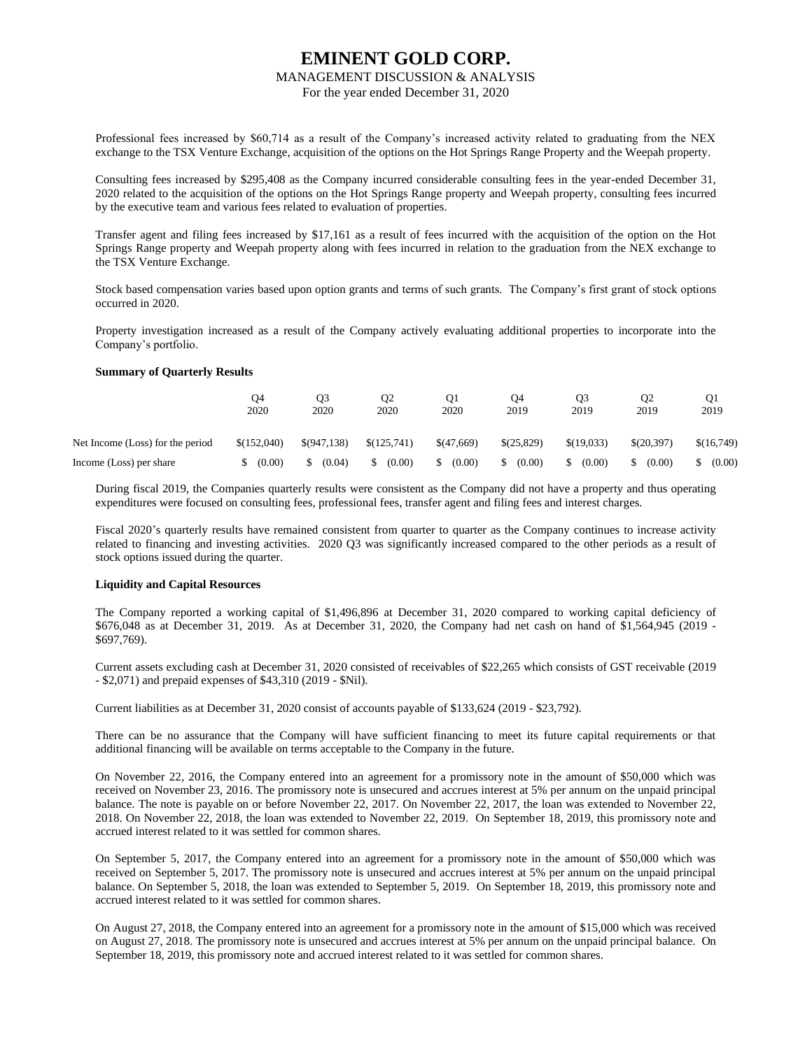#### MANAGEMENT DISCUSSION & ANALYSIS

For the year ended December 31, 2020

Professional fees increased by \$60,714 as a result of the Company's increased activity related to graduating from the NEX exchange to the TSX Venture Exchange, acquisition of the options on the Hot Springs Range Property and the Weepah property.

Consulting fees increased by \$295,408 as the Company incurred considerable consulting fees in the year-ended December 31, 2020 related to the acquisition of the options on the Hot Springs Range property and Weepah property, consulting fees incurred by the executive team and various fees related to evaluation of properties.

Transfer agent and filing fees increased by \$17,161 as a result of fees incurred with the acquisition of the option on the Hot Springs Range property and Weepah property along with fees incurred in relation to the graduation from the NEX exchange to the TSX Venture Exchange.

Stock based compensation varies based upon option grants and terms of such grants. The Company's first grant of stock options occurred in 2020.

Property investigation increased as a result of the Company actively evaluating additional properties to incorporate into the Company's portfolio.

#### **Summary of Quarterly Results**

|                                  | O4<br>2020  | Ο3<br>2020  | O <sub>2</sub><br>2020 | O1<br>2020 | Ο4<br>2019 | O <sub>3</sub><br>2019 | Q <sub>2</sub><br>2019 | O1<br>2019 |
|----------------------------------|-------------|-------------|------------------------|------------|------------|------------------------|------------------------|------------|
| Net Income (Loss) for the period | \$(152,040) | \$(947,138) | \$(125,741)            | \$(47,669) | \$(25,829) | \$(19,033)             | \$(20.397)             | \$(16,749) |
| Income (Loss) per share          | (0.00)      | (0.04)      | (0.00)                 | (0.00)     | (0.00)     | (0.00)                 | (0.00)                 | (0.00)     |

During fiscal 2019, the Companies quarterly results were consistent as the Company did not have a property and thus operating expenditures were focused on consulting fees, professional fees, transfer agent and filing fees and interest charges.

Fiscal 2020's quarterly results have remained consistent from quarter to quarter as the Company continues to increase activity related to financing and investing activities. 2020 Q3 was significantly increased compared to the other periods as a result of stock options issued during the quarter.

#### **Liquidity and Capital Resources**

The Company reported a working capital of \$1,496,896 at December 31, 2020 compared to working capital deficiency of \$676,048 as at December 31, 2019. As at December 31, 2020, the Company had net cash on hand of \$1,564,945 (2019 - \$697,769).

Current assets excluding cash at December 31, 2020 consisted of receivables of \$22,265 which consists of GST receivable (2019 - \$2,071) and prepaid expenses of \$43,310 (2019 - \$Nil).

Current liabilities as at December 31, 2020 consist of accounts payable of \$133,624 (2019 - \$23,792).

There can be no assurance that the Company will have sufficient financing to meet its future capital requirements or that additional financing will be available on terms acceptable to the Company in the future.

On November 22, 2016, the Company entered into an agreement for a promissory note in the amount of \$50,000 which was received on November 23, 2016. The promissory note is unsecured and accrues interest at 5% per annum on the unpaid principal balance. The note is payable on or before November 22, 2017. On November 22, 2017, the loan was extended to November 22, 2018. On November 22, 2018, the loan was extended to November 22, 2019. On September 18, 2019, this promissory note and accrued interest related to it was settled for common shares.

On September 5, 2017, the Company entered into an agreement for a promissory note in the amount of \$50,000 which was received on September 5, 2017. The promissory note is unsecured and accrues interest at 5% per annum on the unpaid principal balance. On September 5, 2018, the loan was extended to September 5, 2019. On September 18, 2019, this promissory note and accrued interest related to it was settled for common shares.

On August 27, 2018, the Company entered into an agreement for a promissory note in the amount of \$15,000 which was received on August 27, 2018. The promissory note is unsecured and accrues interest at 5% per annum on the unpaid principal balance. On September 18, 2019, this promissory note and accrued interest related to it was settled for common shares.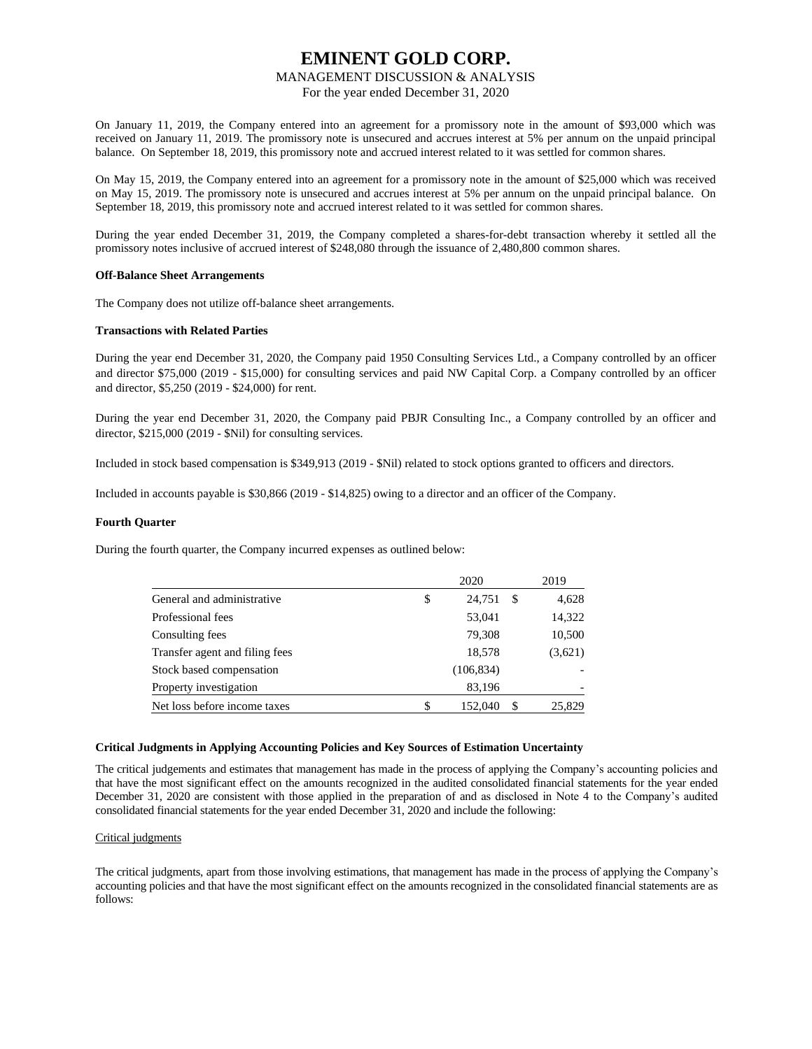#### MANAGEMENT DISCUSSION & ANALYSIS

For the year ended December 31, 2020

On January 11, 2019, the Company entered into an agreement for a promissory note in the amount of \$93,000 which was received on January 11, 2019. The promissory note is unsecured and accrues interest at 5% per annum on the unpaid principal balance. On September 18, 2019, this promissory note and accrued interest related to it was settled for common shares.

On May 15, 2019, the Company entered into an agreement for a promissory note in the amount of \$25,000 which was received on May 15, 2019. The promissory note is unsecured and accrues interest at 5% per annum on the unpaid principal balance. On September 18, 2019, this promissory note and accrued interest related to it was settled for common shares.

During the year ended December 31, 2019, the Company completed a shares-for-debt transaction whereby it settled all the promissory notes inclusive of accrued interest of \$248,080 through the issuance of 2,480,800 common shares.

#### **Off-Balance Sheet Arrangements**

The Company does not utilize off-balance sheet arrangements.

#### **Transactions with Related Parties**

During the year end December 31, 2020, the Company paid 1950 Consulting Services Ltd., a Company controlled by an officer and director \$75,000 (2019 - \$15,000) for consulting services and paid NW Capital Corp. a Company controlled by an officer and director, \$5,250 (2019 - \$24,000) for rent.

During the year end December 31, 2020, the Company paid PBJR Consulting Inc., a Company controlled by an officer and director, \$215,000 (2019 - \$Nil) for consulting services.

Included in stock based compensation is \$349,913 (2019 - \$Nil) related to stock options granted to officers and directors.

Included in accounts payable is \$30,866 (2019 - \$14,825) owing to a director and an officer of the Company.

#### **Fourth Quarter**

During the fourth quarter, the Company incurred expenses as outlined below:

|                                | 2020         |    | 2019    |
|--------------------------------|--------------|----|---------|
| General and administrative     | \$<br>24.751 | S  | 4,628   |
| Professional fees              | 53,041       |    | 14,322  |
| Consulting fees                | 79,308       |    | 10,500  |
| Transfer agent and filing fees | 18,578       |    | (3,621) |
| Stock based compensation       | (106, 834)   |    |         |
| Property investigation         | 83,196       |    |         |
| Net loss before income taxes   | 152,040      | \$ | 25,829  |

#### **Critical Judgments in Applying Accounting Policies and Key Sources of Estimation Uncertainty**

The critical judgements and estimates that management has made in the process of applying the Company's accounting policies and that have the most significant effect on the amounts recognized in the audited consolidated financial statements for the year ended December 31, 2020 are consistent with those applied in the preparation of and as disclosed in Note 4 to the Company's audited consolidated financial statements for the year ended December 31, 2020 and include the following:

#### Critical judgments

The critical judgments, apart from those involving estimations, that management has made in the process of applying the Company's accounting policies and that have the most significant effect on the amounts recognized in the consolidated financial statements are as follows: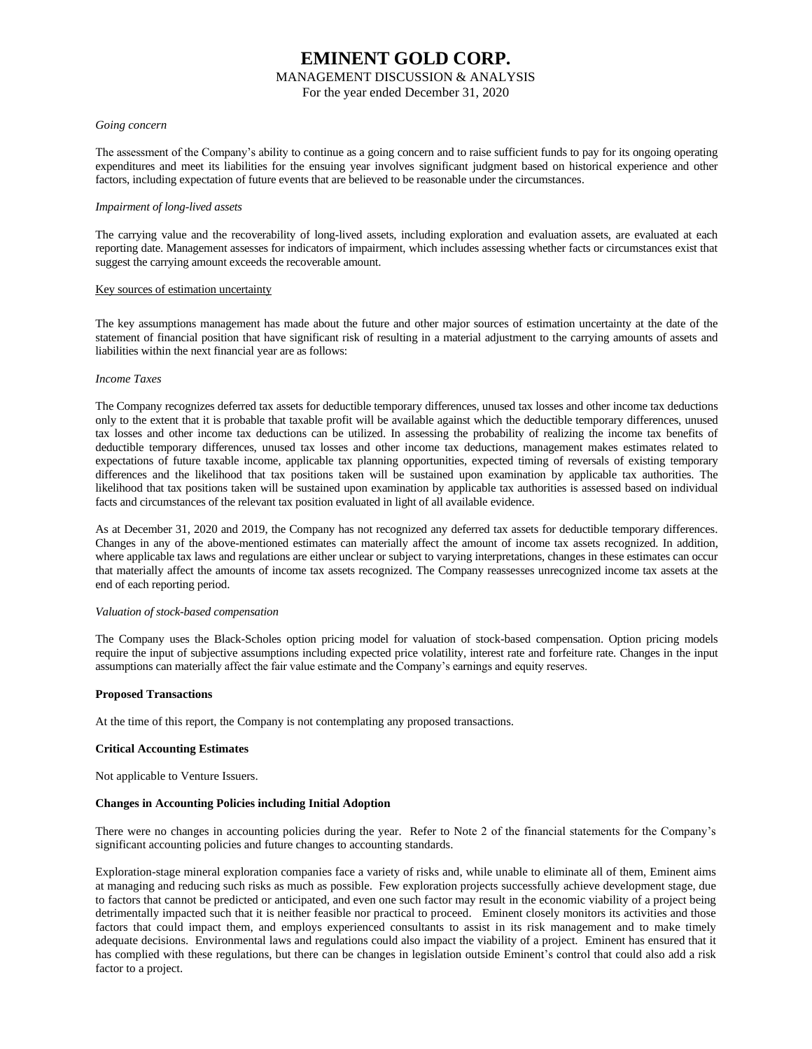#### MANAGEMENT DISCUSSION & ANALYSIS

For the year ended December 31, 2020

#### *Going concern*

The assessment of the Company's ability to continue as a going concern and to raise sufficient funds to pay for its ongoing operating expenditures and meet its liabilities for the ensuing year involves significant judgment based on historical experience and other factors, including expectation of future events that are believed to be reasonable under the circumstances.

#### *Impairment of long-lived assets*

The carrying value and the recoverability of long-lived assets, including exploration and evaluation assets, are evaluated at each reporting date. Management assesses for indicators of impairment, which includes assessing whether facts or circumstances exist that suggest the carrying amount exceeds the recoverable amount.

#### Key sources of estimation uncertainty

The key assumptions management has made about the future and other major sources of estimation uncertainty at the date of the statement of financial position that have significant risk of resulting in a material adjustment to the carrying amounts of assets and liabilities within the next financial year are as follows:

#### *Income Taxes*

The Company recognizes deferred tax assets for deductible temporary differences, unused tax losses and other income tax deductions only to the extent that it is probable that taxable profit will be available against which the deductible temporary differences, unused tax losses and other income tax deductions can be utilized. In assessing the probability of realizing the income tax benefits of deductible temporary differences, unused tax losses and other income tax deductions, management makes estimates related to expectations of future taxable income, applicable tax planning opportunities, expected timing of reversals of existing temporary differences and the likelihood that tax positions taken will be sustained upon examination by applicable tax authorities. The likelihood that tax positions taken will be sustained upon examination by applicable tax authorities is assessed based on individual facts and circumstances of the relevant tax position evaluated in light of all available evidence.

As at December 31, 2020 and 2019, the Company has not recognized any deferred tax assets for deductible temporary differences. Changes in any of the above-mentioned estimates can materially affect the amount of income tax assets recognized. In addition, where applicable tax laws and regulations are either unclear or subject to varying interpretations, changes in these estimates can occur that materially affect the amounts of income tax assets recognized. The Company reassesses unrecognized income tax assets at the end of each reporting period.

#### *Valuation of stock-based compensation*

The Company uses the Black-Scholes option pricing model for valuation of stock-based compensation. Option pricing models require the input of subjective assumptions including expected price volatility, interest rate and forfeiture rate. Changes in the input assumptions can materially affect the fair value estimate and the Company's earnings and equity reserves.

#### **Proposed Transactions**

At the time of this report, the Company is not contemplating any proposed transactions.

#### **Critical Accounting Estimates**

Not applicable to Venture Issuers.

#### **Changes in Accounting Policies including Initial Adoption**

There were no changes in accounting policies during the year. Refer to Note 2 of the financial statements for the Company's significant accounting policies and future changes to accounting standards.

Exploration-stage mineral exploration companies face a variety of risks and, while unable to eliminate all of them, Eminent aims at managing and reducing such risks as much as possible. Few exploration projects successfully achieve development stage, due to factors that cannot be predicted or anticipated, and even one such factor may result in the economic viability of a project being detrimentally impacted such that it is neither feasible nor practical to proceed. Eminent closely monitors its activities and those factors that could impact them, and employs experienced consultants to assist in its risk management and to make timely adequate decisions. Environmental laws and regulations could also impact the viability of a project. Eminent has ensured that it has complied with these regulations, but there can be changes in legislation outside Eminent's control that could also add a risk factor to a project.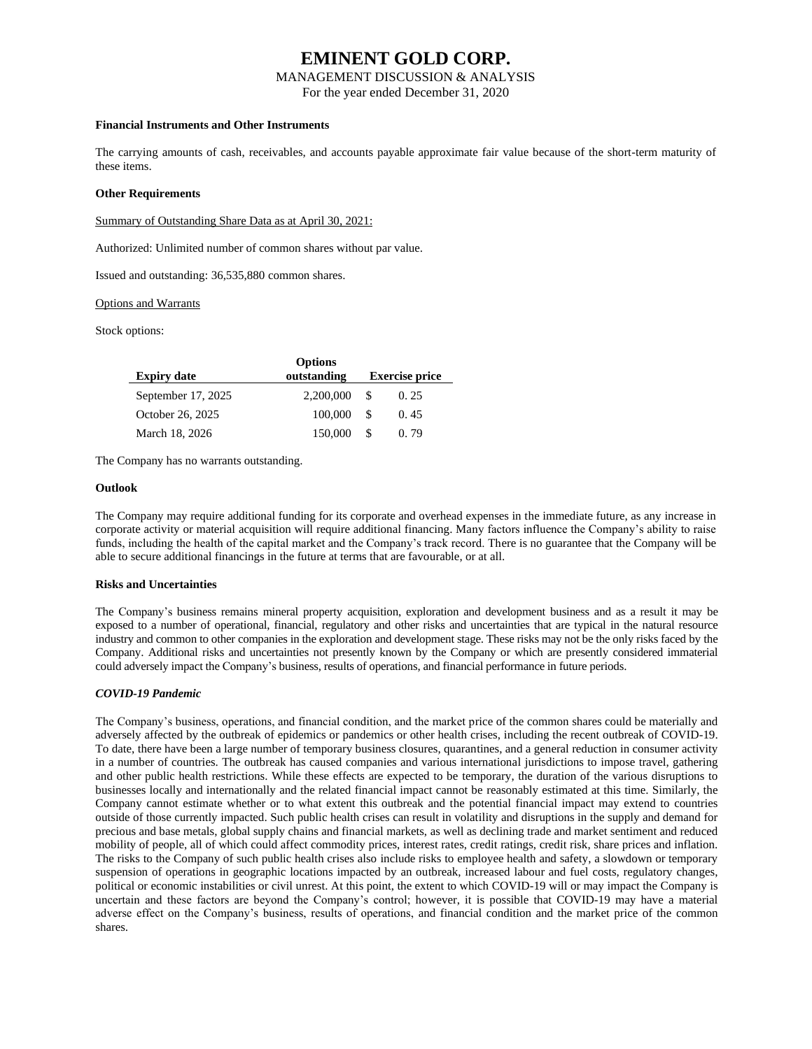#### MANAGEMENT DISCUSSION & ANALYSIS

For the year ended December 31, 2020

#### **Financial Instruments and Other Instruments**

The carrying amounts of cash, receivables, and accounts payable approximate fair value because of the short-term maturity of these items.

#### **Other Requirements**

Summary of Outstanding Share Data as at April 30, 2021:

Authorized: Unlimited number of common shares without par value.

Issued and outstanding: 36,535,880 common shares.

#### Options and Warrants

Stock options:

| <b>Expiry date</b> | <b>Options</b><br>outstanding |    | <b>Exercise price</b> |
|--------------------|-------------------------------|----|-----------------------|
| September 17, 2025 | 2,200,000                     | -S | 0.25                  |
| October 26, 2025   | 100,000                       | -S | 0.45                  |
| March 18, 2026     | 150,000                       |    | 0.79                  |

The Company has no warrants outstanding.

#### **Outlook**

The Company may require additional funding for its corporate and overhead expenses in the immediate future, as any increase in corporate activity or material acquisition will require additional financing. Many factors influence the Company's ability to raise funds, including the health of the capital market and the Company's track record. There is no guarantee that the Company will be able to secure additional financings in the future at terms that are favourable, or at all.

#### **Risks and Uncertainties**

The Company's business remains mineral property acquisition, exploration and development business and as a result it may be exposed to a number of operational, financial, regulatory and other risks and uncertainties that are typical in the natural resource industry and common to other companies in the exploration and development stage. These risks may not be the only risks faced by the Company. Additional risks and uncertainties not presently known by the Company or which are presently considered immaterial could adversely impact the Company's business, results of operations, and financial performance in future periods.

#### *COVID-19 Pandemic*

The Company's business, operations, and financial condition, and the market price of the common shares could be materially and adversely affected by the outbreak of epidemics or pandemics or other health crises, including the recent outbreak of COVID-19. To date, there have been a large number of temporary business closures, quarantines, and a general reduction in consumer activity in a number of countries. The outbreak has caused companies and various international jurisdictions to impose travel, gathering and other public health restrictions. While these effects are expected to be temporary, the duration of the various disruptions to businesses locally and internationally and the related financial impact cannot be reasonably estimated at this time. Similarly, the Company cannot estimate whether or to what extent this outbreak and the potential financial impact may extend to countries outside of those currently impacted. Such public health crises can result in volatility and disruptions in the supply and demand for precious and base metals, global supply chains and financial markets, as well as declining trade and market sentiment and reduced mobility of people, all of which could affect commodity prices, interest rates, credit ratings, credit risk, share prices and inflation. The risks to the Company of such public health crises also include risks to employee health and safety, a slowdown or temporary suspension of operations in geographic locations impacted by an outbreak, increased labour and fuel costs, regulatory changes, political or economic instabilities or civil unrest. At this point, the extent to which COVID-19 will or may impact the Company is uncertain and these factors are beyond the Company's control; however, it is possible that COVID-19 may have a material adverse effect on the Company's business, results of operations, and financial condition and the market price of the common shares.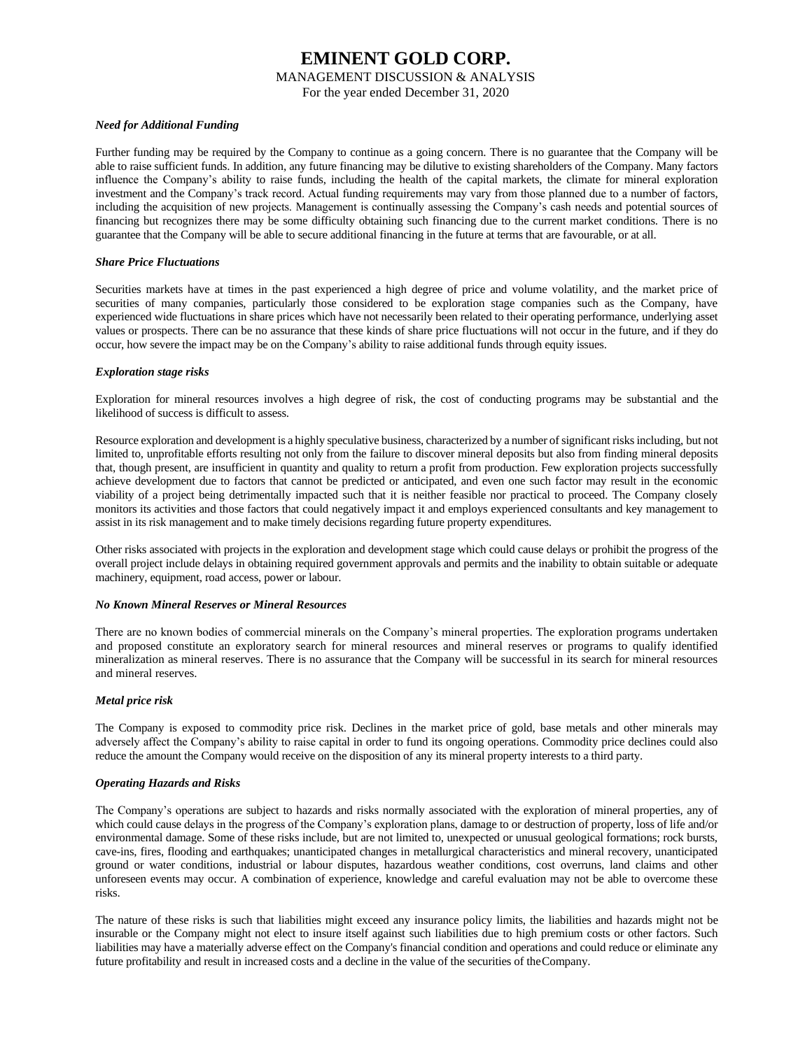MANAGEMENT DISCUSSION & ANALYSIS

For the year ended December 31, 2020

#### *Need for Additional Funding*

Further funding may be required by the Company to continue as a going concern. There is no guarantee that the Company will be able to raise sufficient funds. In addition, any future financing may be dilutive to existing shareholders of the Company. Many factors influence the Company's ability to raise funds, including the health of the capital markets, the climate for mineral exploration investment and the Company's track record. Actual funding requirements may vary from those planned due to a number of factors, including the acquisition of new projects. Management is continually assessing the Company's cash needs and potential sources of financing but recognizes there may be some difficulty obtaining such financing due to the current market conditions. There is no guarantee that the Company will be able to secure additional financing in the future at terms that are favourable, or at all.

#### *Share Price Fluctuations*

Securities markets have at times in the past experienced a high degree of price and volume volatility, and the market price of securities of many companies, particularly those considered to be exploration stage companies such as the Company, have experienced wide fluctuations in share prices which have not necessarily been related to their operating performance, underlying asset values or prospects. There can be no assurance that these kinds of share price fluctuations will not occur in the future, and if they do occur, how severe the impact may be on the Company's ability to raise additional funds through equity issues.

#### *Exploration stage risks*

Exploration for mineral resources involves a high degree of risk, the cost of conducting programs may be substantial and the likelihood of success is difficult to assess.

Resource exploration and development is a highly speculative business, characterized by a number of significant risks including, but not limited to, unprofitable efforts resulting not only from the failure to discover mineral deposits but also from finding mineral deposits that, though present, are insufficient in quantity and quality to return a profit from production. Few exploration projects successfully achieve development due to factors that cannot be predicted or anticipated, and even one such factor may result in the economic viability of a project being detrimentally impacted such that it is neither feasible nor practical to proceed. The Company closely monitors its activities and those factors that could negatively impact it and employs experienced consultants and key management to assist in its risk management and to make timely decisions regarding future property expenditures.

Other risks associated with projects in the exploration and development stage which could cause delays or prohibit the progress of the overall project include delays in obtaining required government approvals and permits and the inability to obtain suitable or adequate machinery, equipment, road access, power or labour.

#### *No Known Mineral Reserves or Mineral Resources*

There are no known bodies of commercial minerals on the Company's mineral properties. The exploration programs undertaken and proposed constitute an exploratory search for mineral resources and mineral reserves or programs to qualify identified mineralization as mineral reserves. There is no assurance that the Company will be successful in its search for mineral resources and mineral reserves.

#### *Metal price risk*

The Company is exposed to commodity price risk. Declines in the market price of gold, base metals and other minerals may adversely affect the Company's ability to raise capital in order to fund its ongoing operations. Commodity price declines could also reduce the amount the Company would receive on the disposition of any its mineral property interests to a third party.

#### *Operating Hazards and Risks*

The Company's operations are subject to hazards and risks normally associated with the exploration of mineral properties, any of which could cause delays in the progress of the Company's exploration plans, damage to or destruction of property, loss of life and/or environmental damage. Some of these risks include, but are not limited to, unexpected or unusual geological formations; rock bursts, cave-ins, fires, flooding and earthquakes; unanticipated changes in metallurgical characteristics and mineral recovery, unanticipated ground or water conditions, industrial or labour disputes, hazardous weather conditions, cost overruns, land claims and other unforeseen events may occur. A combination of experience, knowledge and careful evaluation may not be able to overcome these risks.

The nature of these risks is such that liabilities might exceed any insurance policy limits, the liabilities and hazards might not be insurable or the Company might not elect to insure itself against such liabilities due to high premium costs or other factors. Such liabilities may have a materially adverse effect on the Company's financial condition and operations and could reduce or eliminate any future profitability and result in increased costs and a decline in the value of the securities of theCompany.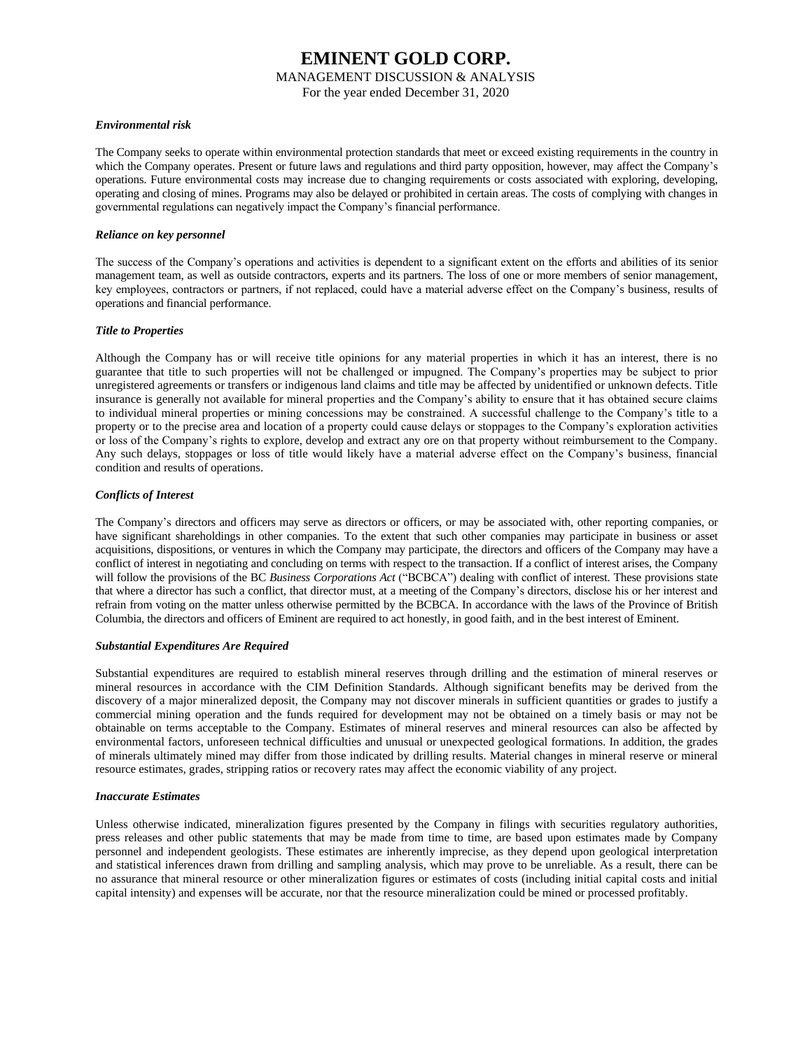MANAGEMENT DISCUSSION & ANALYSIS

For the year ended December 31, 2020

#### *Environmental risk*

The Company seeks to operate within environmental protection standards that meet or exceed existing requirements in the country in which the Company operates. Present or future laws and regulations and third party opposition, however, may affect the Company's operations. Future environmental costs may increase due to changing requirements or costs associated with exploring, developing, operating and closing of mines. Programs may also be delayed or prohibited in certain areas. The costs of complying with changes in governmental regulations can negatively impact the Company's financial performance.

#### *Reliance on key personnel*

The success of the Company's operations and activities is dependent to a significant extent on the efforts and abilities of its senior management team, as well as outside contractors, experts and its partners. The loss of one or more members of senior management, key employees, contractors or partners, if not replaced, could have a material adverse effect on the Company's business, results of operations and financial performance.

#### *Title to Properties*

Although the Company has or will receive title opinions for any material properties in which it has an interest, there is no guarantee that title to such properties will not be challenged or impugned. The Company's properties may be subject to prior unregistered agreements or transfers or indigenous land claims and title may be affected by unidentified or unknown defects. Title insurance is generally not available for mineral properties and the Company's ability to ensure that it has obtained secure claims to individual mineral properties or mining concessions may be constrained. A successful challenge to the Company's title to a property or to the precise area and location of a property could cause delays or stoppages to the Company's exploration activities or loss of the Company's rights to explore, develop and extract any ore on that property without reimbursement to the Company. Any such delays, stoppages or loss of title would likely have a material adverse effect on the Company's business, financial condition and results of operations.

#### *Conflicts of Interest*

The Company's directors and officers may serve as directors or officers, or may be associated with, other reporting companies, or have significant shareholdings in other companies. To the extent that such other companies may participate in business or asset acquisitions, dispositions, or ventures in which the Company may participate, the directors and officers of the Company may have a conflict of interest in negotiating and concluding on terms with respect to the transaction. If a conflict of interest arises, the Company will follow the provisions of the BC *Business Corporations Act* ("BCBCA") dealing with conflict of interest. These provisions state that where a director has such a conflict, that director must, at a meeting of the Company's directors, disclose his or her interest and refrain from voting on the matter unless otherwise permitted by the BCBCA. In accordance with the laws of the Province of British Columbia, the directors and officers of Eminent are required to act honestly, in good faith, and in the best interest of Eminent.

#### *Substantial Expenditures Are Required*

Substantial expenditures are required to establish mineral reserves through drilling and the estimation of mineral reserves or mineral resources in accordance with the CIM Definition Standards. Although significant benefits may be derived from the discovery of a major mineralized deposit, the Company may not discover minerals in sufficient quantities or grades to justify a commercial mining operation and the funds required for development may not be obtained on a timely basis or may not be obtainable on terms acceptable to the Company. Estimates of mineral reserves and mineral resources can also be affected by environmental factors, unforeseen technical difficulties and unusual or unexpected geological formations. In addition, the grades of minerals ultimately mined may differ from those indicated by drilling results. Material changes in mineral reserve or mineral resource estimates, grades, stripping ratios or recovery rates may affect the economic viability of any project.

#### *Inaccurate Estimates*

Unless otherwise indicated, mineralization figures presented by the Company in filings with securities regulatory authorities, press releases and other public statements that may be made from time to time, are based upon estimates made by Company personnel and independent geologists. These estimates are inherently imprecise, as they depend upon geological interpretation and statistical inferences drawn from drilling and sampling analysis, which may prove to be unreliable. As a result, there can be no assurance that mineral resource or other mineralization figures or estimates of costs (including initial capital costs and initial capital intensity) and expenses will be accurate, nor that the resource mineralization could be mined or processed profitably.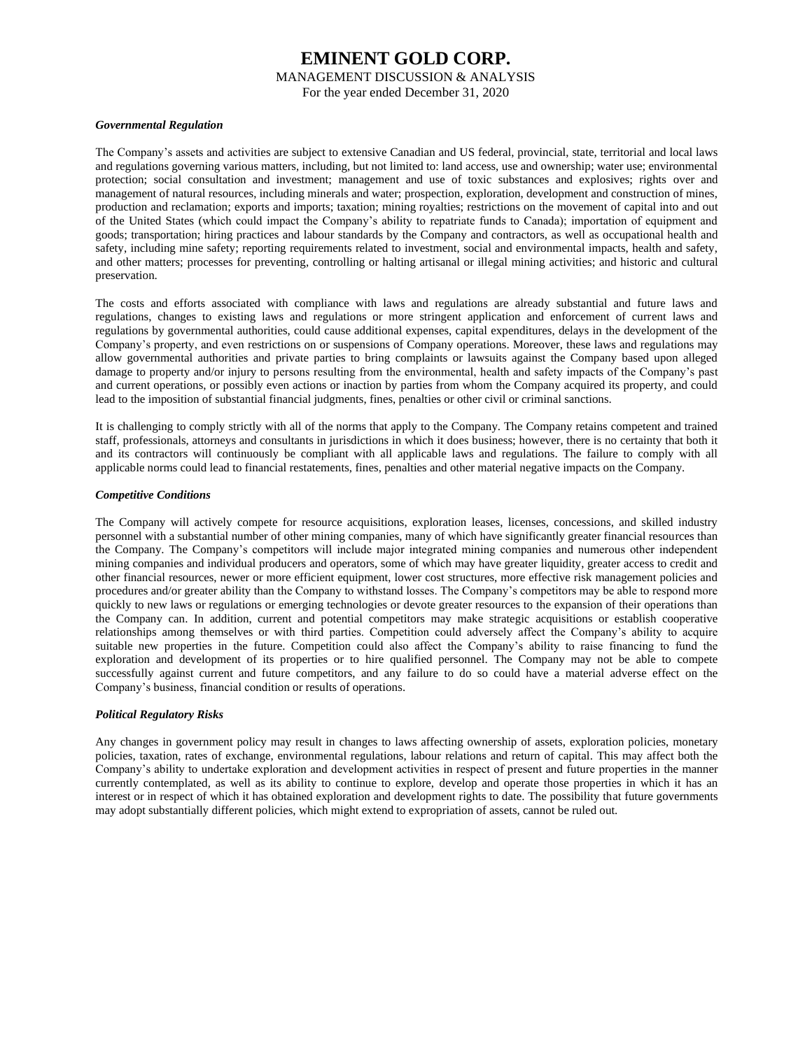MANAGEMENT DISCUSSION & ANALYSIS

For the year ended December 31, 2020

#### *Governmental Regulation*

The Company's assets and activities are subject to extensive Canadian and US federal, provincial, state, territorial and local laws and regulations governing various matters, including, but not limited to: land access, use and ownership; water use; environmental protection; social consultation and investment; management and use of toxic substances and explosives; rights over and management of natural resources, including minerals and water; prospection, exploration, development and construction of mines, production and reclamation; exports and imports; taxation; mining royalties; restrictions on the movement of capital into and out of the United States (which could impact the Company's ability to repatriate funds to Canada); importation of equipment and goods; transportation; hiring practices and labour standards by the Company and contractors, as well as occupational health and safety, including mine safety; reporting requirements related to investment, social and environmental impacts, health and safety, and other matters; processes for preventing, controlling or halting artisanal or illegal mining activities; and historic and cultural preservation.

The costs and efforts associated with compliance with laws and regulations are already substantial and future laws and regulations, changes to existing laws and regulations or more stringent application and enforcement of current laws and regulations by governmental authorities, could cause additional expenses, capital expenditures, delays in the development of the Company's property, and even restrictions on or suspensions of Company operations. Moreover, these laws and regulations may allow governmental authorities and private parties to bring complaints or lawsuits against the Company based upon alleged damage to property and/or injury to persons resulting from the environmental, health and safety impacts of the Company's past and current operations, or possibly even actions or inaction by parties from whom the Company acquired its property, and could lead to the imposition of substantial financial judgments, fines, penalties or other civil or criminal sanctions.

It is challenging to comply strictly with all of the norms that apply to the Company. The Company retains competent and trained staff, professionals, attorneys and consultants in jurisdictions in which it does business; however, there is no certainty that both it and its contractors will continuously be compliant with all applicable laws and regulations. The failure to comply with all applicable norms could lead to financial restatements, fines, penalties and other material negative impacts on the Company.

#### *Competitive Conditions*

The Company will actively compete for resource acquisitions, exploration leases, licenses, concessions, and skilled industry personnel with a substantial number of other mining companies, many of which have significantly greater financial resources than the Company. The Company's competitors will include major integrated mining companies and numerous other independent mining companies and individual producers and operators, some of which may have greater liquidity, greater access to credit and other financial resources, newer or more efficient equipment, lower cost structures, more effective risk management policies and procedures and/or greater ability than the Company to withstand losses. The Company's competitors may be able to respond more quickly to new laws or regulations or emerging technologies or devote greater resources to the expansion of their operations than the Company can. In addition, current and potential competitors may make strategic acquisitions or establish cooperative relationships among themselves or with third parties. Competition could adversely affect the Company's ability to acquire suitable new properties in the future. Competition could also affect the Company's ability to raise financing to fund the exploration and development of its properties or to hire qualified personnel. The Company may not be able to compete successfully against current and future competitors, and any failure to do so could have a material adverse effect on the Company's business, financial condition or results of operations.

#### *Political Regulatory Risks*

Any changes in government policy may result in changes to laws affecting ownership of assets, exploration policies, monetary policies, taxation, rates of exchange, environmental regulations, labour relations and return of capital. This may affect both the Company's ability to undertake exploration and development activities in respect of present and future properties in the manner currently contemplated, as well as its ability to continue to explore, develop and operate those properties in which it has an interest or in respect of which it has obtained exploration and development rights to date. The possibility that future governments may adopt substantially different policies, which might extend to expropriation of assets, cannot be ruled out.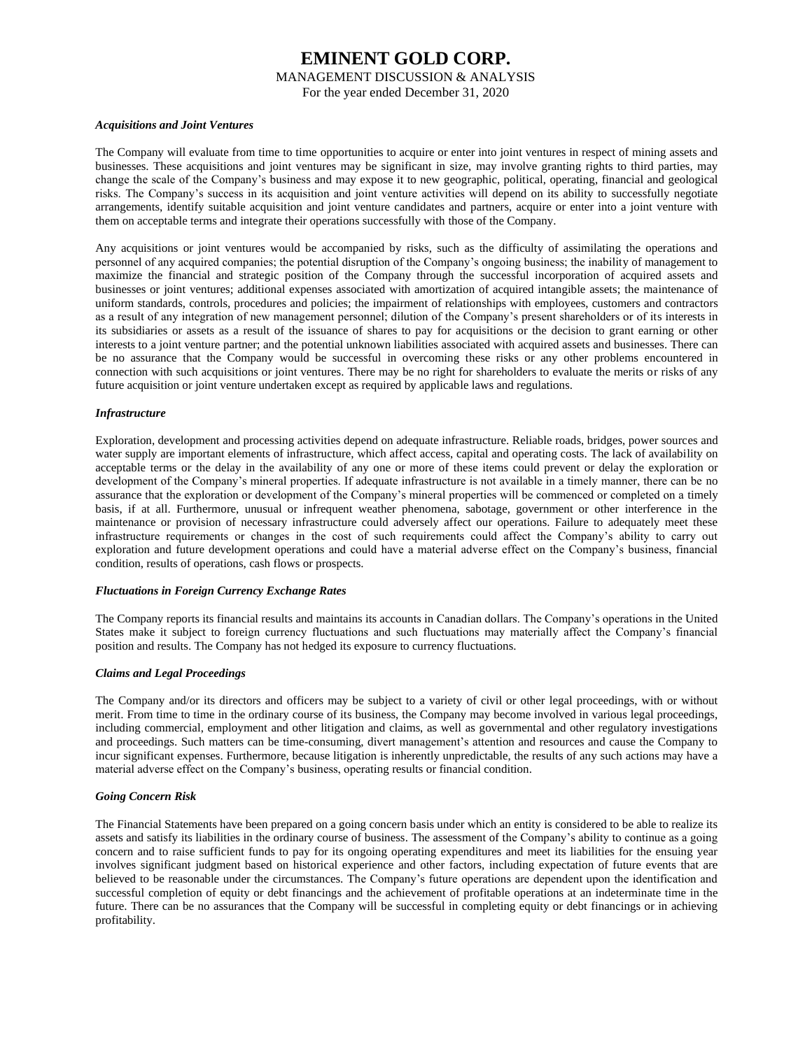MANAGEMENT DISCUSSION & ANALYSIS

For the year ended December 31, 2020

#### *Acquisitions and Joint Ventures*

The Company will evaluate from time to time opportunities to acquire or enter into joint ventures in respect of mining assets and businesses. These acquisitions and joint ventures may be significant in size, may involve granting rights to third parties, may change the scale of the Company's business and may expose it to new geographic, political, operating, financial and geological risks. The Company's success in its acquisition and joint venture activities will depend on its ability to successfully negotiate arrangements, identify suitable acquisition and joint venture candidates and partners, acquire or enter into a joint venture with them on acceptable terms and integrate their operations successfully with those of the Company.

Any acquisitions or joint ventures would be accompanied by risks, such as the difficulty of assimilating the operations and personnel of any acquired companies; the potential disruption of the Company's ongoing business; the inability of management to maximize the financial and strategic position of the Company through the successful incorporation of acquired assets and businesses or joint ventures; additional expenses associated with amortization of acquired intangible assets; the maintenance of uniform standards, controls, procedures and policies; the impairment of relationships with employees, customers and contractors as a result of any integration of new management personnel; dilution of the Company's present shareholders or of its interests in its subsidiaries or assets as a result of the issuance of shares to pay for acquisitions or the decision to grant earning or other interests to a joint venture partner; and the potential unknown liabilities associated with acquired assets and businesses. There can be no assurance that the Company would be successful in overcoming these risks or any other problems encountered in connection with such acquisitions or joint ventures. There may be no right for shareholders to evaluate the merits or risks of any future acquisition or joint venture undertaken except as required by applicable laws and regulations.

#### *Infrastructure*

Exploration, development and processing activities depend on adequate infrastructure. Reliable roads, bridges, power sources and water supply are important elements of infrastructure, which affect access, capital and operating costs. The lack of availability on acceptable terms or the delay in the availability of any one or more of these items could prevent or delay the exploration or development of the Company's mineral properties. If adequate infrastructure is not available in a timely manner, there can be no assurance that the exploration or development of the Company's mineral properties will be commenced or completed on a timely basis, if at all. Furthermore, unusual or infrequent weather phenomena, sabotage, government or other interference in the maintenance or provision of necessary infrastructure could adversely affect our operations. Failure to adequately meet these infrastructure requirements or changes in the cost of such requirements could affect the Company's ability to carry out exploration and future development operations and could have a material adverse effect on the Company's business, financial condition, results of operations, cash flows or prospects.

#### *Fluctuations in Foreign Currency Exchange Rates*

The Company reports its financial results and maintains its accounts in Canadian dollars. The Company's operations in the United States make it subject to foreign currency fluctuations and such fluctuations may materially affect the Company's financial position and results. The Company has not hedged its exposure to currency fluctuations.

#### *Claims and Legal Proceedings*

The Company and/or its directors and officers may be subject to a variety of civil or other legal proceedings, with or without merit. From time to time in the ordinary course of its business, the Company may become involved in various legal proceedings, including commercial, employment and other litigation and claims, as well as governmental and other regulatory investigations and proceedings. Such matters can be time-consuming, divert management's attention and resources and cause the Company to incur significant expenses. Furthermore, because litigation is inherently unpredictable, the results of any such actions may have a material adverse effect on the Company's business, operating results or financial condition.

#### *Going Concern Risk*

The Financial Statements have been prepared on a going concern basis under which an entity is considered to be able to realize its assets and satisfy its liabilities in the ordinary course of business. The assessment of the Company's ability to continue as a going concern and to raise sufficient funds to pay for its ongoing operating expenditures and meet its liabilities for the ensuing year involves significant judgment based on historical experience and other factors, including expectation of future events that are believed to be reasonable under the circumstances. The Company's future operations are dependent upon the identification and successful completion of equity or debt financings and the achievement of profitable operations at an indeterminate time in the future. There can be no assurances that the Company will be successful in completing equity or debt financings or in achieving profitability.